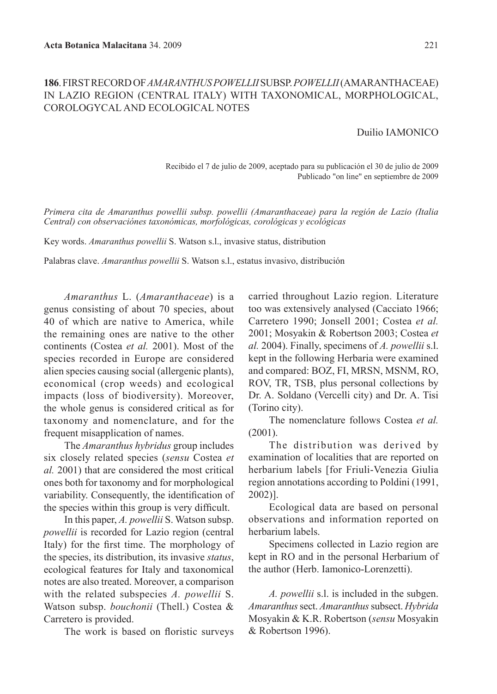# **186**. FIRST RECORD OF *AMARANTHUS POWELLII* SUBSP. *POWELLII* (AMARANTHACEAE) IN LAZIO REGION (CENTRAL ITALY) WITH TAXONOMICAL, MORPHOLOGICAL, COROLOGYCAL AND ECOLOGICAL NOTES

### Duilio IAMONICO

Recibido el 7 de julio de 2009, aceptado para su publicación el 30 de julio de 2009 Publicado "on line" en septiembre de 2009

*Primera cita de Amaranthus powellii subsp. powellii (Amaranthaceae) para la región de Lazio (Italia Central) con observaciónes taxonómicas, morfológicas, corológicas y ecológicas*

Key words. *Amaranthus powellii* S. Watson s.l., invasive status, distribution

Palabras clave. *Amaranthus powellii* S. Watson s.l., estatus invasivo, distribución

*Amaranthus* L. (*Amaranthaceae*) is a genus consisting of about 70 species, about 40 of which are native to America, while the remaining ones are native to the other continents (Costea *et al.* 2001). Most of the species recorded in Europe are considered alien species causing social (allergenic plants), economical (crop weeds) and ecological impacts (loss of biodiversity). Moreover, the whole genus is considered critical as for taxonomy and nomenclature, and for the frequent misapplication of names.

The *Amaranthus hybridus* group includes six closely related species (*sensu* Costea *et al.* 2001) that are considered the most critical ones both for taxonomy and for morphological variability. Consequently, the identification of the species within this group is very difficult.

In this paper, *A. powellii* S. Watson subsp. *powellii* is recorded for Lazio region (central Italy) for the first time. The morphology of the species, its distribution, its invasive *status*, ecological features for Italy and taxonomical notes are also treated. Moreover, a comparison with the related subspecies *A. powellii* S. Watson subsp. *bouchonii* (Thell.) Costea & Carretero is provided.

The work is based on floristic surveys

carried throughout Lazio region. Literature too was extensively analysed (Cacciato 1966; Carretero 1990; Jonsell 2001; Costea *et al.* 2001; Mosyakin & Robertson 2003; Costea *et al.* 2004). Finally, specimens of *A. powellii* s.l. kept in the following Herbaria were examined and compared: BOZ, FI, MRSN, MSNM, RO, ROV, TR, TSB, plus personal collections by Dr. A. Soldano (Vercelli city) and Dr. A. Tisi (Torino city).

The nomenclature follows Costea *et al.*  $(2001)$ 

The distribution was derived by examination of localities that are reported on herbarium labels [for Friuli-Venezia Giulia region annotations according to Poldini (1991, 2002)].

Ecological data are based on personal observations and information reported on herbarium labels.

Specimens collected in Lazio region are kept in RO and in the personal Herbarium of the author (Herb. Iamonico-Lorenzetti).

*A. powellii* s.l. is included in the subgen. *Amaranthus* sect. *Amaranthus* subsect. *Hybrida* Mosyakin & K.R. Robertson (*sensu* Mosyakin & Robertson 1996).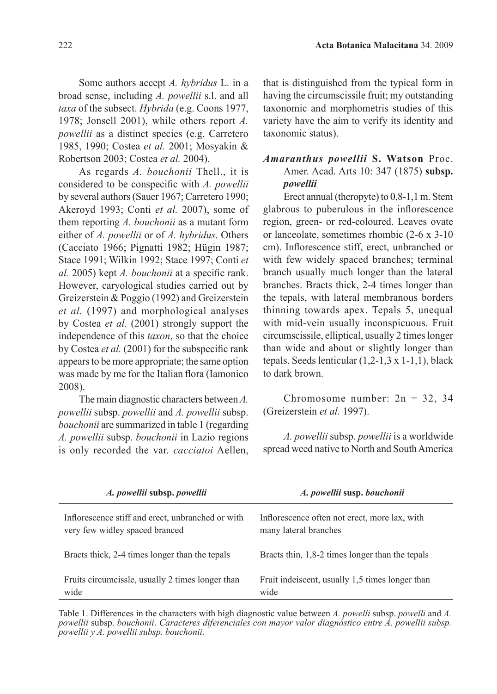Some authors accept *A. hybridus* L. in a broad sense, including *A. powellii* s.l. and all *taxa* of the subsect. *Hybrida* (e.g. Coons 1977, 1978; Jonsell 2001), while others report *A. powellii* as a distinct species (e.g. Carretero 1985, 1990; Costea *et al.* 2001; Mosyakin & Robertson 2003; Costea *et al.* 2004).

As regards *A. bouchonii* Thell., it is considered to be conspecific with *A. powellii* by several authors (Sauer 1967; Carretero 1990; Akeroyd 1993; Conti *et al.* 2007), some of them reporting *A. bouchonii* as a mutant form either of *A. powellii* or of *A. hybridus*. Others (Cacciato 1966; Pignatti 1982; Hügin 1987; Stace 1991; Wilkin 1992; Stace 1997; Conti *et al.* 2005) kept *A. bouchonii* at a specific rank. However, caryological studies carried out by Greizerstein & Poggio (1992) and Greizerstein *et al.* (1997) and morphological analyses by Costea *et al.* (2001) strongly support the independence of this *taxon*, so that the choice by Costea *et al.* (2001) for the subspecific rank appears to be more appropriate; the same option was made by me for the Italian flora (Iamonico 2008).

The main diagnostic characters between *A. powellii* subsp. *powellii* and *A. powellii* subsp. *bouchonii* are summarized in table 1 (regarding *A. powellii* subsp. *bouchonii* in Lazio regions is only recorded the var. *cacciatoi* Aellen, that is distinguished from the typical form in having the circumscissile fruit; my outstanding taxonomic and morphometris studies of this variety have the aim to verify its identity and taxonomic status).

## *Amaranthus powellii* **S. Watson** Proc. Amer. Acad. Arts 10: 347 (1875) **subsp.**  *powellii*

Erect annual (theropyte) to 0,8-1,1 m. Stem glabrous to puberulous in the inflorescence region, green- or red-coloured. Leaves ovate or lanceolate, sometimes rhombic (2-6 x 3-10 cm). Inflorescence stiff, erect, unbranched or with few widely spaced branches; terminal branch usually much longer than the lateral branches. Bracts thick, 2-4 times longer than the tepals, with lateral membranous borders thinning towards apex. Tepals 5, unequal with mid-vein usually inconspicuous. Fruit circumscissile, elliptical, usually 2 times longer than wide and about or slightly longer than tepals. Seeds lenticular (1,2-1,3 x 1-1,1), black to dark brown.

Chromosome number:  $2n = 32$ , 34 (Greizerstein *et al.* 1997).

*A. powellii* subsp. *powellii* is a worldwide spread weed native to North and South America

| A. powellii subsp. powellii                       | A. powellii susp. bouchonii                     |
|---------------------------------------------------|-------------------------------------------------|
| Inflorescence stiff and erect, unbranched or with | Inflorescence often not erect, more lax, with   |
| very few widley spaced branced                    | many lateral branches                           |
| Bracts thick, 2-4 times longer than the tepals    | Bracts thin, 1,8-2 times longer than the tepals |
| Fruits circumcissle, usually 2 times longer than  | Fruit indeiscent, usually 1,5 times longer than |
| wide                                              | wide                                            |

Table 1. Differences in the characters with high diagnostic value between *A. powelli* subsp. *powelli* and *A. powellii* subsp. *bouchonii*. *Caracteres diferenciales con mayor valor diagnóstico entre A. powellii subsp. powellii y A. powellii subsp. bouchonii.*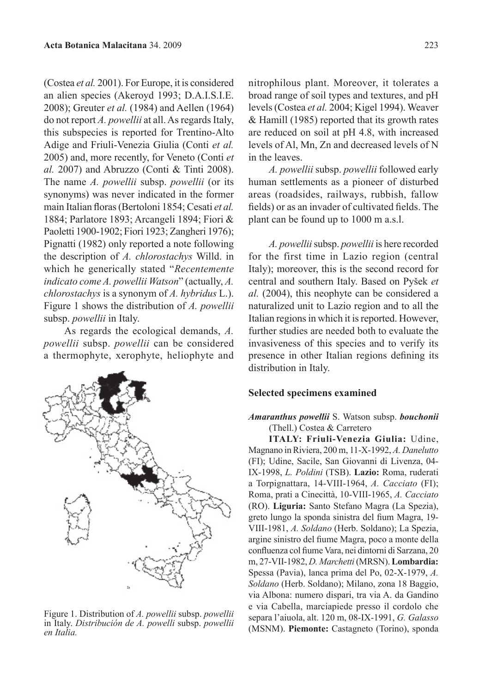(Costea *et al.* 2001). For Europe, it is considered an alien species (Akeroyd 1993; D.A.I.S.I.E. 2008); Greuter *et al.* (1984) and Aellen (1964) do not report *A. powellii* at all. As regards Italy, this subspecies is reported for Trentino-Alto Adige and Friuli-Venezia Giulia (Conti *et al.* 2005) and, more recently, for Veneto (Conti *et al.* 2007) and Abruzzo (Conti & Tinti 2008). The name *A. powellii* subsp. *powellii* (or its synonyms) was never indicated in the former main Italian floras (Bertoloni 1854; Cesati *et al.* 1884; Parlatore 1893; Arcangeli 1894; Fiori & Paoletti 1900-1902; Fiori 1923; Zangheri 1976); Pignatti (1982) only reported a note following the description of *A. chlorostachys* Willd. in which he generically stated "*Recentemente indicato come A. powellii Watson*" (actually, *A. chlorostachys* is a synonym of *A. hybridus* L.). Figure 1 shows the distribution of *A. powellii* subsp. *powellii* in Italy.

As regards the ecological demands, *A. powellii* subsp. *powellii* can be considered a thermophyte, xerophyte, heliophyte and



Figure 1. Distribution of *A. powellii* subsp. *powellii* in Italy. *Distribución de A. powelli* subsp. *powellii en Italia.*

nitrophilous plant. Moreover, it tolerates a broad range of soil types and textures, and pH levels (Costea *et al.* 2004; Kigel 1994). Weaver & Hamill (1985) reported that its growth rates are reduced on soil at pH 4.8, with increased levels of Al, Mn, Zn and decreased levels of N in the leaves.

*A. powellii* subsp. *powellii* followed early human settlements as a pioneer of disturbed areas (roadsides, railways, rubbish, fallow fields) or as an invader of cultivated fields. The plant can be found up to 1000 m a.s.l.

*A. powellii* subsp. *powellii* is here recorded for the first time in Lazio region (central Italy); moreover, this is the second record for central and southern Italy. Based on Pyšek *et al.* (2004), this neophyte can be considered a naturalized unit to Lazio region and to all the Italian regions in which it is reported. However, further studies are needed both to evaluate the invasiveness of this species and to verify its presence in other Italian regions defining its distribution in Italy.

### **Selected specimens examined**

### *Amaranthus powellii* S. Watson subsp. *bouchonii* (Thell.) Costea & Carretero

**ITALY: Friuli-Venezia Giulia:** Udine, Magnano in Riviera, 200 m, 11-X-1992, *A. Danelutto* (FI); Udine, Sacile, San Giovanni di Livenza, 04- IX-1998, *L. Poldini* (TSB). **Lazio:** Roma, ruderati a Torpignattara, 14-VIII-1964, *A. Cacciato* (FI); Roma, prati a Cinecittà, 10-VIII-1965, *A. Cacciato* (RO). **Liguria:** Santo Stefano Magra (La Spezia), greto lungo la sponda sinistra del fium Magra, 19- VIII-1981, *A. Soldano* (Herb. Soldano); La Spezia, argine sinistro del fiume Magra, poco a monte della confluenza col fiume Vara, nei dintorni di Sarzana, 20 m, 27-VII-1982, *D. Marchetti* (MRSN). **Lombardia:** Spessa (Pavia), lanca prima del Po, 02-X-1979, *A. Soldano* (Herb. Soldano); Milano, zona 18 Baggio, via Albona: numero dispari, tra via A. da Gandino e via Cabella, marciapiede presso il cordolo che separa l'aiuola, alt. 120 m, 08-IX-1991, *G. Galasso* (MSNM). **Piemonte:** Castagneto (Torino), sponda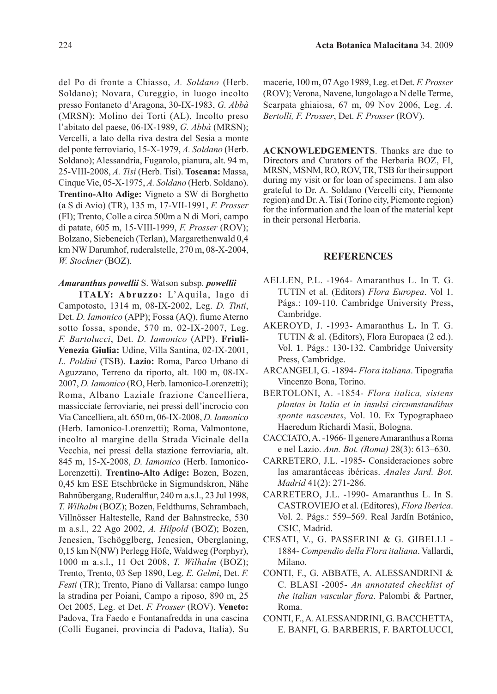del Po di fronte a Chiasso, *A. Soldano* (Herb. Soldano); Novara, Cureggio, in luogo incolto presso Fontaneto d'Aragona, 30-IX-1983, *G. Abbà* (MRSN); Molino dei Torti (AL), Incolto preso l'abitato del paese, 06-IX-1989, *G. Abbà* (MRSN); Vercelli, a lato della riva destra del Sesia a monte del ponte ferroviario, 15-X-1979, *A. Soldano* (Herb. Soldano); Alessandria, Fugarolo, pianura, alt. 94 m, 25-VIII-2008, *A. Tisi* (Herb. Tisi). **Toscana:** Massa, Cinque Vie, 05-X-1975, *A. Soldano* (Herb. Soldano). **Trentino-Alto Adige:** Vigneto a SW di Borghetto (a S di Avio) (TR), 135 m, 17-VII-1991, *F. Prosser* (FI); Trento, Colle a circa 500m a N di Mori, campo di patate, 605 m, 15-VIII-1999, *F. Prosser* (ROV); Bolzano, Siebeneich (Terlan), Margarethenwald 0,4 km NW Darumhof, ruderalstelle, 270 m, 08-X-2004, *W. Stockner* (BOZ).

#### *Amaranthus powellii* S. Watson subsp. *powellii*

**ITALY: Abruzzo:** L'Aquila, lago di Campotosto, 1314 m, 08-IX-2002, Leg. *D. Tinti*, Det. *D. Iamonico* (APP); Fossa (AQ), fiume Aterno sotto fossa, sponde, 570 m, 02-IX-2007, Leg. *F. Bartolucci*, Det. *D. Iamonico* (APP). **Friuli-Venezia Giulia:** Udine, Villa Santina, 02-IX-2001, *L. Poldini* (TSB). **Lazio:** Roma, Parco Urbano di Aguzzano, Terreno da riporto, alt. 100 m, 08-IX-2007, *D. Iamonico* (RO, Herb. Iamonico-Lorenzetti); Roma, Albano Laziale frazione Cancelliera, massicciate ferroviarie, nei pressi dell'incrocio con Via Cancelliera, alt. 650 m, 06-IX-2008, *D. Iamonico* (Herb. Iamonico-Lorenzetti); Roma, Valmontone, incolto al margine della Strada Vicinale della Vecchia, nei pressi della stazione ferroviaria, alt. 845 m, 15-X-2008, *D. Iamonico* (Herb. Iamonico-Lorenzetti). **Trentino-Alto Adige:** Bozen, Bozen, 0,45 km ESE Etschbrücke in Sigmundskron, Nähe Bahnübergang, Ruderalflur, 240 m a.s.l., 23 Jul 1998, *T. Wilhalm* (BOZ); Bozen, Feldthurns, Schrambach, Villnösser Haltestelle, Rand der Bahnstrecke, 530 m a.s.l., 22 Ago 2002, *A. Hilpold* (BOZ); Bozen, Jenesien, Tschögglberg, Jenesien, Oberglaning, 0,15 km N(NW) Perlegg Höfe, Waldweg (Porphyr), 1000 m a.s.l., 11 Oct 2008, *T. Wilhalm* (BOZ); Trento, Trento, 03 Sep 1890, Leg. *E. Gelmi*, Det. *F. Festi* (TR); Trento, Piano di Vallarsa: campo lungo la stradina per Poiani, Campo a riposo, 890 m, 25 Oct 2005, Leg. et Det. *F. Prosser* (ROV). **Veneto:**  Padova, Tra Faedo e Fontanafredda in una cascina (Colli Euganei, provincia di Padova, Italia), Su macerie, 100 m, 07 Ago 1989, Leg. et Det. *F. Prosser*  (ROV); Verona, Navene, lungolago a N delle Terme, Scarpata ghiaiosa, 67 m, 09 Nov 2006, Leg. *A. Bertolli, F. Prosser*, Det. *F. Prosser* (ROV).

**ACKNOWLEDGEMENTS**. Thanks are due to Directors and Curators of the Herbaria BOZ, FI, MRSN, MSNM, RO, ROV, TR, TSB for their support during my visit or for loan of specimens. I am also grateful to Dr. A. Soldano (Vercelli city, Piemonte region) and Dr. A. Tisi (Torino city, Piemonte region) for the information and the loan of the material kept in their personal Herbaria.

#### **REFERENCES**

- AELLEN, P.L. -1964- Amaranthus L. In T. G. TUTIN et al. (Editors) *Flora Europea*. Vol 1. Págs.: 109-110. Cambridge University Press, Cambridge.
- AKEROYD, J. -1993- Amaranthus **L.** In T. G. TUTIN & al. (Editors), Flora Europaea (2 ed.). Vol. **1**. Págs.: 130-132. Cambridge University Press, Cambridge.
- ARCANGELI, G. -1894- *Flora italiana*. Tipografia Vincenzo Bona, Torino.
- BERTOLONI, A. -1854- *Flora italica, sistens plantas in Italia et in insulsi circumstandibus sponte nascentes*, Vol. 10. Ex Typographaeo Haeredum Richardi Masii, Bologna.
- CACCIATO, A. -1966- Il genere Amaranthus a Roma e nel Lazio. *Ann. Bot. (Roma)* 28(3): 613–630.
- CARRETERO, J.L. -1985- Consideraciones sobre las amarantáceas ibéricas. *Anales Jard. Bot. Madrid* 41(2): 271-286.
- CARRETERO, J.L. -1990- Amaranthus L. In S. CASTROVIEJO et al. (Editores), *Flora Iberica*. Vol. 2. Págs.: 559–569. Real Jardín Botánico, CSIC, Madrid.
- CESATI, V., G. PASSERINI & G. GIBELLI 1884- *Compendio della Flora italiana*. Vallardi, Milano.
- CONTI, F., G. ABBATE, A. ALESSANDRINI & C. BLASI -2005- *An annotated checklist of the italian vascular flora*. Palombi & Partner, Roma.
- CONTI, F., A. ALESSANDRINI, G. BACCHETTA, E. BANFI, G. BARBERIS, F. BARTOLUCCI,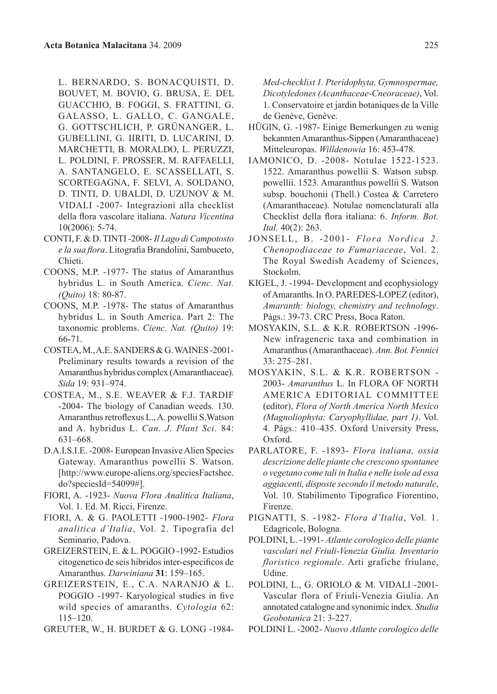L. BERNARDO, S. BONACQUISTI, D. BOUVET, M. BOVIO, G. BRUSA, E. DEL GUACCHIO, B. FOGGI, S. FRATTINI, G. GALASSO, L. GALLO, C. GANGALE, G. GOTTSCHLICH, P. GRÜNANGER, L. GUBELLINI, G. IIRITI, D. LUCARINI, D. MARCHETTI, B. MORALDO, L. PERUZZI, L. POLDINI, F. PROSSER, M. RAFFAELLI, A. SANTANGELO, E. SCASSELLATI, S. SCORTEGAGNA, F. SELVI, A. SOLDANO, D. TINTI, D. UBALDI, D. UZUNOV & M. VIDALI -2007- Integrazioni alla checklist della flora vascolare italiana. *Natura Vicentina* 10(2006): 5-74.

- CONTI, F. & D. TINTI -2008- *Il Lago di Campotosto e la sua flora*. Litografia Brandolini, Sambuceto, Chieti.
- COONS, M.P. -1977- The status of Amaranthus hybridus L. in South America. *Cienc. Nat. (Quito)* 18: 80-87.
- COONS, M.P. -1978- The status of Amaranthus hybridus L. in South America. Part 2: The taxonomic problems. *Cienc. Nat. (Quito)* 19: 66-71.
- COSTEA, M., A.E. SANDERS & G. WAINES -2001- Preliminary results towards a revision of the Amaranthus hybridus complex (Amaranthaceae). *Sida* 19: 931–974.
- COSTEA, M., S.E. WEAVER & F.J. TARDIF -2004- The biology of Canadian weeds. 130. Amaranthus retroflexus L., A. powellii S.Watson and A. hybridus L. *Can. J. Plant Sci.* 84: 631–668.
- D.A.I.S.I.E. -2008- European Invasive Alien Species Gateway. Amaranthus powellii S. Watson. [http://www.europe-aliens.org/speciesFactshee. do?speciesId=54099#].
- FIORI, A. -1923- *Nuova Flora Analitica Italiana*, Vol. 1. Ed. M. Ricci, Firenze.
- FIORI, A. & G. PAOLETTI -1900-1902- *Flora analitica d'Italia*, Vol. 2. Tipografia del Seminario, Padova.
- GREIZERSTEIN, E. & L. POGGIO -1992- Estudios citogenetico de seis hibridos inter-especificos de Amaranthus. *Darwiniana* **31**: 159–165.
- GREIZERSTEIN, E., C.A. NARANJO & L. POGGIO -1997- Karyological studies in five wild species of amaranths. *Cytologia* 62: 115–120.
- GREUTER, W., H. BURDET & G. LONG -1984-

*Med-checklist 1. Pteridophyta, Gymnospermae, Dicotyledones (Acanthaceae-Cneoraceae)*, Vol. 1. Conservatoire et jardin botaniques de la Ville de Genève, Genève.

- HÜGIN, G. -1987- Einige Bemerkungen zu wenig bekannten Amaranthus-Sippen (Amaranthaceae) Mitteleuropas. *Willdenowia* 16: 453-478.
- IAMONICO, D. -2008- Notulae 1522-1523. 1522. Amaranthus powellii S. Watson subsp. powellii. 1523. Amaranthus powellii S. Watson subsp. bouchonii (Thell.) Costea & Carretero (Amaranthaceae). Notulae nomenclaturali alla Checklist della flora italiana: 6. *Inform. Bot. Ital.* 40(2): 263.
- JONSELL, B. -2001- *Flora Nordica 2. Chenopodiaceae to Fumariaceae*, Vol. 2. The Royal Swedish Academy of Sciences, Stockolm.
- KIGEL, J. -1994- Development and ecophysiology of Amaranths. In O. PAREDES-LOPEZ (editor), *Amaranth: biology, chemistry and technology*. Págs.: 39-73. CRC Press, Boca Raton.
- MOSYAKIN, S.L. & K.R. ROBERTSON -1996- New infrageneric taxa and combination in Amaranthus(Amaranthaceae). *Ann. Bot. Fennici* 33: 275–281.
- MOSYAKIN, S.L. & K.R. ROBERTSON 2003- *Amaranthus* L. In FLORA OF NORTH AMERICA EDITORIAL COMMITTEE (editor), *Flora of North America North Mexico (Magnoliophyta: Caryophyllidae, part 1)*. Vol. 4. Págs.: 410–435. Oxford University Press, Oxford.
- PARLATORE, F. -1893- *Flora italiana, ossia descrizione delle piante che crescono spontanee o vegetano come tali in Italia e nelle isole ad essa aggiacenti, disposte secondo il metodo naturale*, Vol. 10. Stabilimento Tipografico Fiorentino, Firenze.
- PIGNATTI, S. -1982- *Flora d'Italia*, Vol. 1. Edagricole, Bologna.
- POLDINI, L. -1991- *Atlante corologico delle piante vascolari nel Friuli-Venezia Giulia. Inventario floristico regionale*. Arti grafiche friulane, Udine.
- POLDINI, L., G. ORIOLO & M. VIDALI -2001- Vascular flora of Friuli-Venezia Giulia. An annotated catalogne and synonimic index. *Studia Geobotanica* 21: 3-227.
- POLDINI L. -2002- *Nuovo Atlante corologico delle*